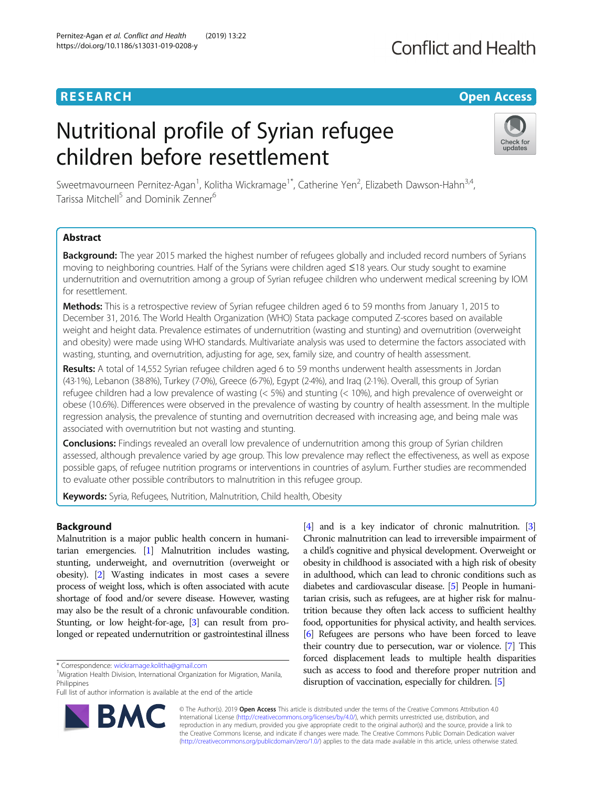### **RESEARCH CHEAR CHEAR CHEAR CHEAR CHEAR CHEAR CHEAR CHEAR CHEAR CHEAR CHEAR CHEAR CHEAR CHEAR CHEAR CHEAR CHEAR**

# **Conflict and Health**

# Nutritional profile of Syrian refugee children before resettlement



Sweetmavourneen Pernitez-Agan<sup>1</sup>, Kolitha Wickramage<sup>1\*</sup>, Catherine Yen<sup>2</sup>, Elizabeth Dawson-Hahn<sup>3,4</sup>, Tarissa Mitchell<sup>5</sup> and Dominik Zenner<sup>6</sup>

### Abstract

Background: The year 2015 marked the highest number of refugees globally and included record numbers of Syrians moving to neighboring countries. Half of the Syrians were children aged ≤18 years. Our study sought to examine undernutrition and overnutrition among a group of Syrian refugee children who underwent medical screening by IOM for resettlement.

Methods: This is a retrospective review of Syrian refugee children aged 6 to 59 months from January 1, 2015 to December 31, 2016. The World Health Organization (WHO) Stata package computed Z-scores based on available weight and height data. Prevalence estimates of undernutrition (wasting and stunting) and overnutrition (overweight and obesity) were made using WHO standards. Multivariate analysis was used to determine the factors associated with wasting, stunting, and overnutrition, adjusting for age, sex, family size, and country of health assessment.

Results: A total of 14,552 Syrian refugee children aged 6 to 59 months underwent health assessments in Jordan (43·1%), Lebanon (38·8%), Turkey (7·0%), Greece (6·7%), Egypt (2·4%), and Iraq (2·1%). Overall, this group of Syrian refugee children had a low prevalence of wasting (< 5%) and stunting (< 10%), and high prevalence of overweight or obese (10.6%). Differences were observed in the prevalence of wasting by country of health assessment. In the multiple regression analysis, the prevalence of stunting and overnutrition decreased with increasing age, and being male was associated with overnutrition but not wasting and stunting.

**Conclusions:** Findings revealed an overall low prevalence of undernutrition among this group of Syrian children assessed, although prevalence varied by age group. This low prevalence may reflect the effectiveness, as well as expose possible gaps, of refugee nutrition programs or interventions in countries of asylum. Further studies are recommended to evaluate other possible contributors to malnutrition in this refugee group.

Keywords: Syria, Refugees, Nutrition, Malnutrition, Child health, Obesity

### Background

Malnutrition is a major public health concern in humanitarian emergencies. [[1\]](#page-7-0) Malnutrition includes wasting, stunting, underweight, and overnutrition (overweight or obesity). [\[2\]](#page-7-0) Wasting indicates in most cases a severe process of weight loss, which is often associated with acute shortage of food and/or severe disease. However, wasting may also be the result of a chronic unfavourable condition. Stunting, or low height-for-age, [[3](#page-7-0)] can result from prolonged or repeated undernutrition or gastrointestinal illness

**BM** 

Full list of author information is available at the end of the article



© The Author(s). 2019 **Open Access** This article is distributed under the terms of the Creative Commons Attribution 4.0 International License [\(http://creativecommons.org/licenses/by/4.0/](http://creativecommons.org/licenses/by/4.0/)), which permits unrestricted use, distribution, and reproduction in any medium, provided you give appropriate credit to the original author(s) and the source, provide a link to the Creative Commons license, and indicate if changes were made. The Creative Commons Public Domain Dedication waiver [\(http://creativecommons.org/publicdomain/zero/1.0/](http://creativecommons.org/publicdomain/zero/1.0/)) applies to the data made available in this article, unless otherwise stated.

<sup>\*</sup> Correspondence: [wickramage.kolitha@gmail.com](mailto:wickramage.kolitha@gmail.com) <sup>1</sup>

<sup>&</sup>lt;sup>1</sup>Migration Health Division, International Organization for Migration, Manila, Philippines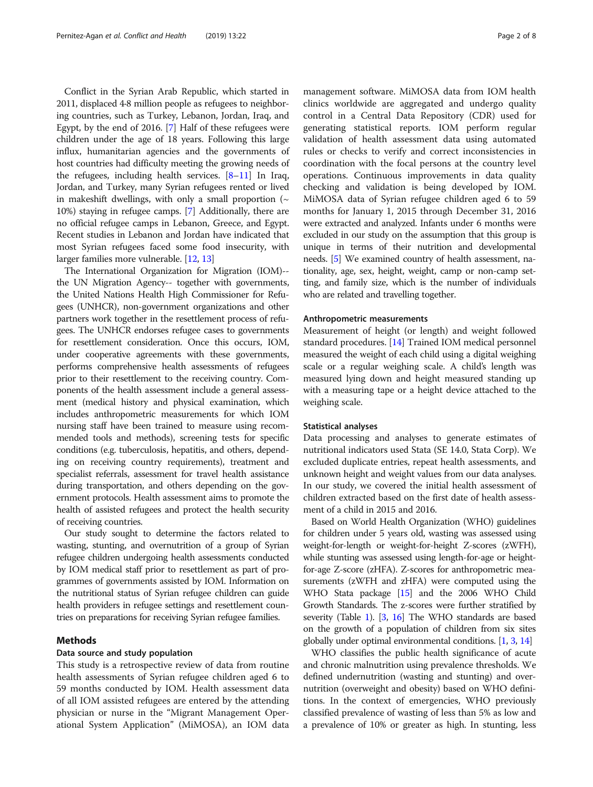Conflict in the Syrian Arab Republic, which started in 2011, displaced 4·8 million people as refugees to neighboring countries, such as Turkey, Lebanon, Jordan, Iraq, and Egypt, by the end of 2016. [\[7](#page-7-0)] Half of these refugees were children under the age of 18 years. Following this large influx, humanitarian agencies and the governments of host countries had difficulty meeting the growing needs of the refugees, including health services. [\[8](#page-7-0)–[11\]](#page-7-0) In Iraq, Jordan, and Turkey, many Syrian refugees rented or lived in makeshift dwellings, with only a small proportion  $({\sim}$ 10%) staying in refugee camps. [[7](#page-7-0)] Additionally, there are no official refugee camps in Lebanon, Greece, and Egypt. Recent studies in Lebanon and Jordan have indicated that most Syrian refugees faced some food insecurity, with larger families more vulnerable. [\[12](#page-7-0), [13](#page-7-0)]

The International Organization for Migration (IOM)- the UN Migration Agency-- together with governments, the United Nations Health High Commissioner for Refugees (UNHCR), non-government organizations and other partners work together in the resettlement process of refugees. The UNHCR endorses refugee cases to governments for resettlement consideration. Once this occurs, IOM, under cooperative agreements with these governments, performs comprehensive health assessments of refugees prior to their resettlement to the receiving country. Components of the health assessment include a general assessment (medical history and physical examination, which includes anthropometric measurements for which IOM nursing staff have been trained to measure using recommended tools and methods), screening tests for specific conditions (e.g. tuberculosis, hepatitis, and others, depending on receiving country requirements), treatment and specialist referrals, assessment for travel health assistance during transportation, and others depending on the government protocols. Health assessment aims to promote the health of assisted refugees and protect the health security of receiving countries.

Our study sought to determine the factors related to wasting, stunting, and overnutrition of a group of Syrian refugee children undergoing health assessments conducted by IOM medical staff prior to resettlement as part of programmes of governments assisted by IOM. Information on the nutritional status of Syrian refugee children can guide health providers in refugee settings and resettlement countries on preparations for receiving Syrian refugee families.

#### Methods

#### Data source and study population

This study is a retrospective review of data from routine health assessments of Syrian refugee children aged 6 to 59 months conducted by IOM. Health assessment data of all IOM assisted refugees are entered by the attending physician or nurse in the "Migrant Management Operational System Application" (MiMOSA), an IOM data management software. MiMOSA data from IOM health clinics worldwide are aggregated and undergo quality

control in a Central Data Repository (CDR) used for generating statistical reports. IOM perform regular validation of health assessment data using automated rules or checks to verify and correct inconsistencies in coordination with the focal persons at the country level operations. Continuous improvements in data quality checking and validation is being developed by IOM. MiMOSA data of Syrian refugee children aged 6 to 59 months for January 1, 2015 through December 31, 2016 were extracted and analyzed. Infants under 6 months were excluded in our study on the assumption that this group is unique in terms of their nutrition and developmental needs. [\[5](#page-7-0)] We examined country of health assessment, nationality, age, sex, height, weight, camp or non-camp setting, and family size, which is the number of individuals who are related and travelling together.

#### Anthropometric measurements

Measurement of height (or length) and weight followed standard procedures. [[14\]](#page-7-0) Trained IOM medical personnel measured the weight of each child using a digital weighing scale or a regular weighing scale. A child's length was measured lying down and height measured standing up with a measuring tape or a height device attached to the weighing scale.

#### Statistical analyses

Data processing and analyses to generate estimates of nutritional indicators used Stata (SE 14.0, Stata Corp). We excluded duplicate entries, repeat health assessments, and unknown height and weight values from our data analyses. In our study, we covered the initial health assessment of children extracted based on the first date of health assessment of a child in 2015 and 2016.

Based on World Health Organization (WHO) guidelines for children under 5 years old, wasting was assessed using weight-for-length or weight-for-height Z-scores (zWFH), while stunting was assessed using length-for-age or heightfor-age Z-score (zHFA). Z-scores for anthropometric measurements (zWFH and zHFA) were computed using the WHO Stata package [\[15](#page-7-0)] and the 2006 WHO Child Growth Standards. The z-scores were further stratified by severity (Table [1](#page-2-0)). [\[3](#page-7-0), [16\]](#page-7-0) The WHO standards are based on the growth of a population of children from six sites globally under optimal environmental conditions. [[1](#page-7-0), [3,](#page-7-0) [14\]](#page-7-0)

WHO classifies the public health significance of acute and chronic malnutrition using prevalence thresholds. We defined undernutrition (wasting and stunting) and overnutrition (overweight and obesity) based on WHO definitions. In the context of emergencies, WHO previously classified prevalence of wasting of less than 5% as low and a prevalence of 10% or greater as high. In stunting, less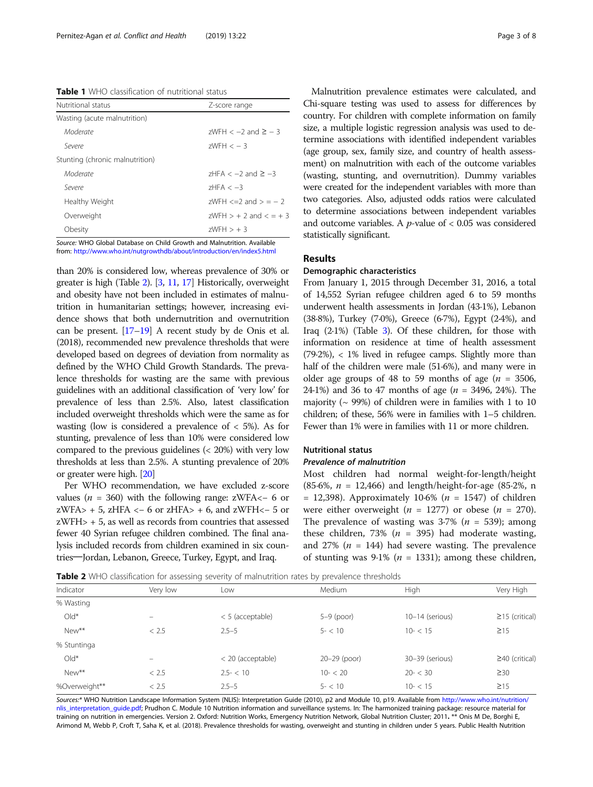<span id="page-2-0"></span>Table 1 WHO classification of nutritional status

| Nutritional status              | Z-score range               |
|---------------------------------|-----------------------------|
| Wasting (acute malnutrition)    |                             |
| Moderate                        | $7WFH < -2$ and $\ge -3$    |
| Severe                          | $7WFH < -3$                 |
| Stunting (chronic malnutrition) |                             |
| Moderate                        | $zHFA < -2$ and $\ge -3$    |
| Severe                          | $zHFA < -3$                 |
| Healthy Weight                  | $7WFH \leq 2$ and $> = -2$  |
| Overweight                      | $7WFH > + 2$ and $\lt = +3$ |
| Obesity                         | $7WFH > +3$                 |

Source: WHO Global Database on Child Growth and Malnutrition. Available from: <http://www.who.int/nutgrowthdb/about/introduction/en/index5.html>

than 20% is considered low, whereas prevalence of 30% or greater is high (Table 2). [[3](#page-7-0), [11,](#page-7-0) [17](#page-7-0)] Historically, overweight and obesity have not been included in estimates of malnutrition in humanitarian settings; however, increasing evidence shows that both undernutrition and overnutrition can be present. [\[17](#page-7-0)–[19\]](#page-7-0) A recent study by de Onis et al. (2018), recommended new prevalence thresholds that were developed based on degrees of deviation from normality as defined by the WHO Child Growth Standards. The prevalence thresholds for wasting are the same with previous guidelines with an additional classification of 'very low' for prevalence of less than 2.5%. Also, latest classification included overweight thresholds which were the same as for wasting (low is considered a prevalence of  $\langle 5\% \rangle$ ). As for stunting, prevalence of less than 10% were considered low compared to the previous guidelines (< 20%) with very low thresholds at less than 2.5%. A stunting prevalence of 20% or greater were high. [\[20\]](#page-7-0)

Per WHO recommendation, we have excluded z-score values ( $n = 360$ ) with the following range: zWFA $<-6$  or zWFA> + 5, zHFA <- 6 or zHFA> + 6, and zWFH<- 5 or zWFH> + 5, as well as records from countries that assessed fewer 40 Syrian refugee children combined. The final analysis included records from children examined in six countries─Jordan, Lebanon, Greece, Turkey, Egypt, and Iraq.

Malnutrition prevalence estimates were calculated, and Chi-square testing was used to assess for differences by country. For children with complete information on family size, a multiple logistic regression analysis was used to determine associations with identified independent variables (age group, sex, family size, and country of health assessment) on malnutrition with each of the outcome variables (wasting, stunting, and overnutrition). Dummy variables were created for the independent variables with more than two categories. Also, adjusted odds ratios were calculated to determine associations between independent variables and outcome variables. A  $p$ -value of  $< 0.05$  was considered statistically significant.

#### Results

#### Demographic characteristics

From January 1, 2015 through December 31, 2016, a total of 14,552 Syrian refugee children aged 6 to 59 months underwent health assessments in Jordan (43·1%), Lebanon (38·8%), Turkey (7·0%), Greece (6·7%), Egypt (2·4%), and Iraq (2·1%) (Table [3](#page-3-0)). Of these children, for those with information on residence at time of health assessment  $(79.2\%)$ ,  $< 1\%$  lived in refugee camps. Slightly more than half of the children were male (51·6%), and many were in older age groups of 48 to 59 months of age  $(n = 3506,$ 24.1%) and 36 to 47 months of age ( $n = 3496, 24%$ ). The majority ( $\sim$  99%) of children were in families with 1 to 10 children; of these, 56% were in families with 1–5 children. Fewer than 1% were in families with 11 or more children.

#### Nutritional status

#### Prevalence of malnutrition

Most children had normal weight-for-length/height (85.6%,  $n = 12,466$ ) and length/height-for-age (85.2%, n  $= 12,398$ ). Approximately 10.6% (*n* = 1547) of children were either overweight ( $n = 1277$ ) or obese ( $n = 270$ ). The prevalence of wasting was  $3.7\%$  ( $n = 539$ ); among these children, 73% ( $n = 395$ ) had moderate wasting, and 27% ( $n = 144$ ) had severe wasting. The prevalence of stunting was  $9.1\%$  ( $n = 1331$ ); among these children,

Table 2 WHO classification for assessing severity of malnutrition rates by prevalence thresholds

| Indicator     | Very low                                     | Low          | Medium           | High              | Very High            |
|---------------|----------------------------------------------|--------------|------------------|-------------------|----------------------|
| % Wasting     |                                              |              |                  |                   |                      |
| $Old*$        | < 5 (acceptable)                             |              | $5-9$ (poor)     | $10-14$ (serious) | $\geq$ 15 (critical) |
| New**         | < 2.5                                        | $2.5 - 5$    | $5 - 10$         | $10 - 15$         | $\geq$ 15            |
| % Stuntinga   |                                              |              |                  |                   |                      |
| $Old*$        | < 20 (acceptable)<br>$\qquad \qquad \  \, -$ |              | $20 - 29$ (poor) | 30-39 (serious)   | $\geq$ 40 (critical) |
| New**         | < 2.5                                        | $2.5 - < 10$ | $10 - 20$        | $20 - < 30$       | $\geq$ 30            |
| %Overweight** | < 2.5                                        | $2.5 - 5$    | $5 - < 10$       | $10 - 15$         | $\geq$ 15            |

Sources:\* WHO Nutrition Landscape Information System (NLIS): Interpretation Guide (2010), p2 and Module 10, p19. Available from [http://www.who.int/nutrition/](http://www.who.int/nutrition/nlis_interpretation_guide.pdf) nlis interpretation quide.pdf: Prudhon C. Module 10 Nutrition information and surveillance systems. In: The harmonized training package: resource material for training on nutrition in emergencies. Version 2. Oxford: Nutrition Works, Emergency Nutrition Network, Global Nutrition Cluster; 2011. \*\* Onis M De, Borghi E, Arimond M, Webb P, Croft T, Saha K, et al. (2018). Prevalence thresholds for wasting, overweight and stunting in children under 5 years. Public Health Nutrition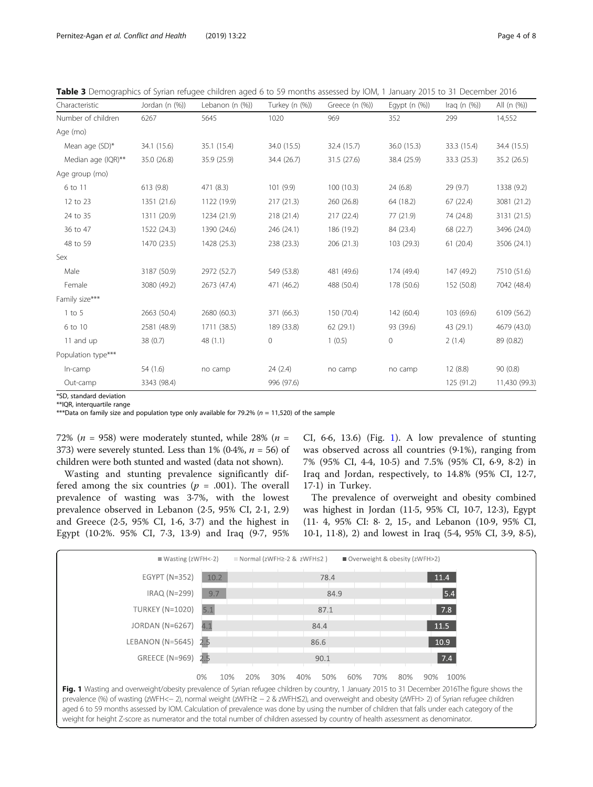<span id="page-3-0"></span>

| Characteristic     | Jordan (n (%)) | Lebanon (n (%)) | Turkey (n (%)) | Greece (n (%)) | Eqypt $(n (%))$ | Iraq $(n \ (\%))$ | All (n (%))   |
|--------------------|----------------|-----------------|----------------|----------------|-----------------|-------------------|---------------|
| Number of children | 6267           | 5645            | 1020           | 969            | 352             | 299               | 14,552        |
| Age (mo)           |                |                 |                |                |                 |                   |               |
| Mean age $(SD)^*$  | 34.1 (15.6)    | 35.1 (15.4)     | 34.0 (15.5)    | 32.4 (15.7)    | 36.0 (15.3)     | 33.3 (15.4)       | 34.4 (15.5)   |
| Median age (IQR)** | 35.0 (26.8)    | 35.9 (25.9)     | 34.4 (26.7)    | 31.5 (27.6)    | 38.4 (25.9)     | 33.3 (25.3)       | 35.2 (26.5)   |
| Age group (mo)     |                |                 |                |                |                 |                   |               |
| 6 to 11            | 613 (9.8)      | 471 (8.3)       | 101(9.9)       | 100(10.3)      | 24 (6.8)        | 29(9.7)           | 1338 (9.2)    |
| 12 to 23           | 1351 (21.6)    | 1122 (19.9)     | 217(21.3)      | 260 (26.8)     | 64 (18.2)       | 67 (22.4)         | 3081 (21.2)   |
| 24 to 35           | 1311 (20.9)    | 1234 (21.9)     | 218 (21.4)     | 217 (22.4)     | 77 (21.9)       | 74 (24.8)         | 3131 (21.5)   |
| 36 to 47           | 1522 (24.3)    | 1390 (24.6)     | 246 (24.1)     | 186 (19.2)     | 84 (23.4)       | 68 (22.7)         | 3496 (24.0)   |
| 48 to 59           | 1470 (23.5)    | 1428 (25.3)     | 238 (23.3)     | 206 (21.3)     | 103 (29.3)      | 61(20.4)          | 3506 (24.1)   |
| <b>Sex</b>         |                |                 |                |                |                 |                   |               |
| Male               | 3187 (50.9)    | 2972 (52.7)     | 549 (53.8)     | 481 (49.6)     | 174 (49.4)      | 147 (49.2)        | 7510 (51.6)   |
| Female             | 3080 (49.2)    | 2673 (47.4)     | 471 (46.2)     | 488 (50.4)     | 178 (50.6)      | 152 (50.8)        | 7042 (48.4)   |
| Family size***     |                |                 |                |                |                 |                   |               |
| $1$ to 5           | 2663 (50.4)    | 2680 (60.3)     | 371 (66.3)     | 150 (70.4)     | 142 (60.4)      | 103 (69.6)        | 6109 (56.2)   |
| 6 to 10            | 2581 (48.9)    | 1711 (38.5)     | 189 (33.8)     | 62(29.1)       | 93 (39.6)       | 43 (29.1)         | 4679 (43.0)   |
| 11 and up          | 38 (0.7)       | 48(1.1)         | $\mathbf 0$    | 1(0.5)         | 0               | 2(1.4)            | 89 (0.82)     |
| Population type*** |                |                 |                |                |                 |                   |               |
| In-camp            | 54 (1.6)       | no camp         | 24(2.4)        | no camp        | no camp         | 12(8.8)           | 90(0.8)       |
| Out-camp           | 3343 (98.4)    |                 | 996 (97.6)     |                |                 | 125 (91.2)        | 11,430 (99.3) |

\*SD, standard deviation

\*\*IQR, interquartile range

\*\*\*Data on family size and population type only available for 79.2% ( $n = 11,520$ ) of the sample

72% ( $n = 958$ ) were moderately stunted, while 28% ( $n =$ 373) were severely stunted. Less than 1% (0-4%,  $n = 56$ ) of children were both stunted and wasted (data not shown).

Wasting and stunting prevalence significantly differed among the six countries ( $p = .001$ ). The overall prevalence of wasting was 3·7%, with the lowest prevalence observed in Lebanon (2·5, 95% CI, 2·1, 2.9) and Greece (2·5, 95% CI, 1·6, 3·7) and the highest in Egypt (10·2%. 95% CI, 7·3, 13·9) and Iraq (9·7, 95%

CI, 6·6, 13.6) (Fig. 1). A low prevalence of stunting was observed across all countries (9·1%), ranging from 7% (95% CI, 4·4, 10·5) and 7.5% (95% CI, 6·9, 8·2) in Iraq and Jordan, respectively, to 14.8% (95% CI, 12·7, 17·1) in Turkey.

The prevalence of overweight and obesity combined was highest in Jordan (11·5, 95% CI, 10·7, 12·3), Egypt (11· 4, 95% CI: 8· 2, 15·, and Lebanon (10·9, 95% CI, 10·1, 11·8), 2) and lowest in Iraq (5·4, 95% CI, 3·9, 8·5),



weight for height Z-score as numerator and the total number of children assessed by country of health assessment as denominator.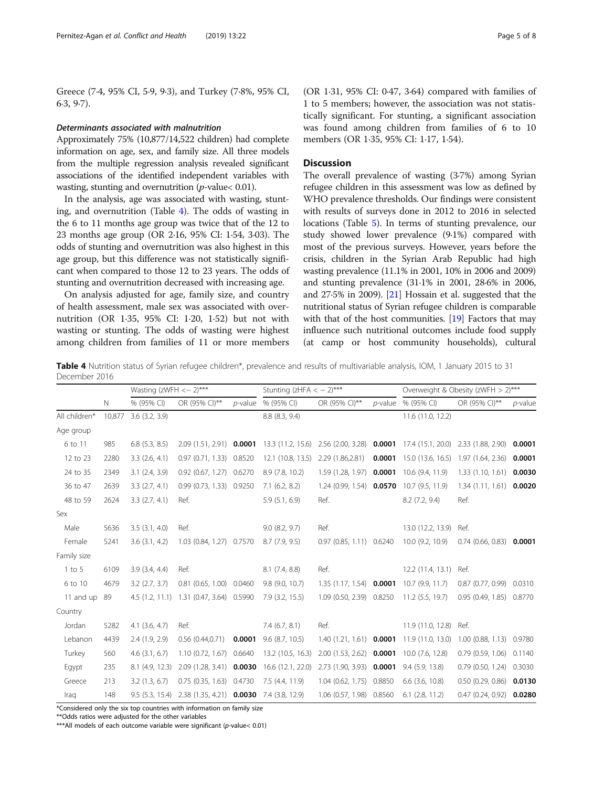Greece (7·4, 95% CI, 5·9, 9·3), and Turkey (7·8%, 95% CI, 6·3, 9·7).

#### Determinants associated with malnutrition

Approximately 75% (10,877/14,522 children) had complete information on age, sex, and family size. All three models from the multiple regression analysis revealed significant associations of the identified independent variables with wasting, stunting and overnutrition (p-value< 0.01).

In the analysis, age was associated with wasting, stunting, and overnutrition (Table 4). The odds of wasting in the 6 to 11 months age group was twice that of the 12 to 23 months age group (OR 2·16, 95% CI: 1·54, 3·03). The odds of stunting and overnutrition was also highest in this age group, but this difference was not statistically significant when compared to those 12 to 23 years. The odds of stunting and overnutrition decreased with increasing age.

On analysis adjusted for age, family size, and country of health assessment, male sex was associated with overnutrition (OR 1·35, 95% CI: 1·20, 1·52) but not with wasting or stunting. The odds of wasting were highest among children from families of 11 or more members members (OR 1·35, 95% CI: 1·17, 1·54).

#### **Discussion**

The overall prevalence of wasting (3·7%) among Syrian refugee children in this assessment was low as defined by WHO prevalence thresholds. Our findings were consistent with results of surveys done in 2012 to 2016 in selected locations (Table [5](#page-5-0)). In terms of stunting prevalence, our study showed lower prevalence (9·1%) compared with most of the previous surveys. However, years before the crisis, children in the Syrian Arab Republic had high wasting prevalence (11.1% in 2001, 10% in 2006 and 2009) and stunting prevalence (31·1% in 2001, 28·6% in 2006, and 27·5% in 2009). [\[21\]](#page-7-0) Hossain et al. suggested that the nutritional status of Syrian refugee children is comparable with that of the host communities. [[19\]](#page-7-0) Factors that may influence such nutritional outcomes include food supply (at camp or host community households), cultural

Table 4 Nutrition status of Syrian refugee children\*, prevalence and results of multivariable analysis, IOM, 1 January 2015 to 31 December 2016

|               | Wasting (zWFH $<-2$ )*** |                    |                                                          | Stunting (zHFA $<-2$ )*** |                     |                          | Overweight & Obesity (zWFH > 2)*** |                                |                                                   |            |
|---------------|--------------------------|--------------------|----------------------------------------------------------|---------------------------|---------------------|--------------------------|------------------------------------|--------------------------------|---------------------------------------------------|------------|
|               | $\mathsf{N}$             | % (95% CI)         | OR (95% CI)**                                            | <i>p</i> -value           | % (95% CI)          | OR (95% CI)**            | <i>p</i> -value                    | % (95% CI)                     | OR (95% CI)**                                     | $p$ -value |
| All children* | 10,877                   | $3.6$ $(3.2, 3.9)$ |                                                          |                           | 8.8 (8.3, 9.4)      |                          |                                    | 11.6 (11.0, 12.2)              |                                                   |            |
| Age group     |                          |                    |                                                          |                           |                     |                          |                                    |                                |                                                   |            |
| 6 to 11       | 985                      | 6.8(5.3, 8.5)      | 2.09 (1.51, 2.91) 0.0001                                 |                           | 13.3 (11.2, 15.6)   | 2.56 (2.00, 3.28)        |                                    |                                | <b>0.0001</b> 17.4 (15.1, 20.0) 2.33 (1.88, 2.90) | 0.0001     |
| 12 to 23      | 2280                     | 3.3(2.6, 4.1)      | 0.97 (0.71, 1.33) 0.8520                                 |                           | 12.1 (10.8, 13.5)   | 2.29 (1.86,2.81)         | 0.0001                             | 15.0 (13.6, 16.5)              | 1.97 (1.64, 2.36)                                 | 0.0001     |
| 24 to 35      | 2349                     | $3.1$ $(2.4, 3.9)$ | 0.92(0.67, 1.27)                                         | 0.6270                    | 8.9 (7.8, 10.2)     | 1.59 (1.28, 1.97)        | 0.0001                             | 10.6 (9.4, 11.9)               | 1.33(1.10, 1.61)                                  | 0.0030     |
| 36 to 47      | 2639                     | 3.3(2.7, 4.1)      | 0.99 (0.73, 1.33) 0.9250                                 |                           | 7.1(6.2, 8.2)       | 1.24 (0.99, 1.54)        |                                    | <b>0.0570</b> 10.7 (9.5, 11.9) | 1.34 (1.11, 1.61) 0.0020                          |            |
| 48 to 59      | 2624                     | 3.3(2.7, 4.1)      | Ref.                                                     |                           | 5.9(5.1, 6.9)       | Ref.                     |                                    | 8.2(7.2, 9.4)                  | Ref.                                              |            |
| Sex           |                          |                    |                                                          |                           |                     |                          |                                    |                                |                                                   |            |
| Male          | 5636                     | 3.5(3.1, 4.0)      | Ref.                                                     |                           | $9.0$ $(8.2, 9.7)$  | Ref.                     |                                    | 13.0 (12.2, 13.9)              | Ref.                                              |            |
| Female        | 5241                     | 3.6(3.1, 4.2)      | 1.03 (0.84, 1.27) 0.7570                                 |                           | 8.7(7.9, 9.5)       | 0.97 (0.85, 1.11) 0.6240 |                                    | 10.0 (9.2, 10.9)               | $0.74(0.66, 0.83)$ 0.0001                         |            |
| Family size   |                          |                    |                                                          |                           |                     |                          |                                    |                                |                                                   |            |
| $1$ to $5$    | 6109                     | 3.9(3.4, 4.4)      | Ref.                                                     |                           | 8.1 (7.4, 8.8)      | Ref.                     |                                    | 12.2(11.4, 13.1)               | Ref.                                              |            |
| 6 to 10       | 4679                     | $3.2$ $(2.7, 3.7)$ | 0.81(0.65, 1.00)                                         | 0.0460                    | $9.8$ (9.0, 10.7)   | 1.35 (1.17, 1.54) 0.0001 |                                    | 10.7 (9.9, 11.7)               | 0.87(0.77, 0.99)                                  | 0.0310     |
| 11 and up     | 89                       | 4.5(1.2, 11.1)     | 1.31 (0.47, 3.64)                                        | 0.5990                    | $7.9$ $(3.2, 15.5)$ | 1.09 (0.50, 2.39)        | 0.8250                             | 11.2 (5.5, 19.7)               | 0.95(0.49, 1.85)                                  | 0.8770     |
| Country       |                          |                    |                                                          |                           |                     |                          |                                    |                                |                                                   |            |
| Jordan        | 5282                     | $4.1$ $(3.6, 4.7)$ | Ref.                                                     |                           | $7.4$ (6.7, 8.1)    | Ref.                     |                                    | 11.9 (11.0, 12.8)              | Ref.                                              |            |
| Lebanon       | 4439                     | 2.4(1.9, 2.9)      | 0.56(0.44,0.71)                                          | 0.0001                    | $9.6$ (8.7, 10.5)   | 1.40(1.21, 1.61)         | 0.0001                             | 11.9 (11.0, 13.0)              | 1.00(0.88, 1.13)                                  | 0.9780     |
| Turkey        | 560                      | $4.6$ $(3.1, 6.7)$ | 1.10(0.72, 1.67)                                         | 0.6640                    | 13.2 (10.5, 16.3)   | 2.00 (1.53, 2.62)        | 0.0001                             | 10.0 (7.6, 12.8)               | 0.79(0.59, 1.06)                                  | 0.1140     |
| Egypt         | 235                      | 8.1 (4.9, 12.3)    | 2.09 (1.28, 3.41)                                        | 0.0030                    | 16.6 (12.1, 22.0)   | 2.73 (1.90, 3.93)        | 0.0001                             | $9.4$ (5.9, 13.8)              | 0.79(0.50, 1.24)                                  | 0.3030     |
| Greece        | 213                      | 3.2(1.3, 6.7)      | 0.75(0.35, 1.63)                                         | 0.4730                    | 7.5 (4.4, 11.9)     | 1.04(0.62, 1.75)         | 0.8850                             | $6.6$ $(3.6, 10.8)$            | 0.50(0.29, 0.86)                                  | 0.0130     |
| Iraq          | 148                      |                    | 9.5 (5.3, 15.4) 2.38 (1.35, 4.21) 0.0030 7.4 (3.8, 12.9) |                           |                     | 1.06 (0.57, 1.98) 0.8560 |                                    | $6.1$ $(2.8, 11.2)$            | 0.47(0.24, 0.92)                                  | 0.0280     |

\*Considered only the six top countries with information on family size

\*\*Odds ratios were adjusted for the other variables

\*\*\*All models of each outcome variable were significant (p-value< 0.01)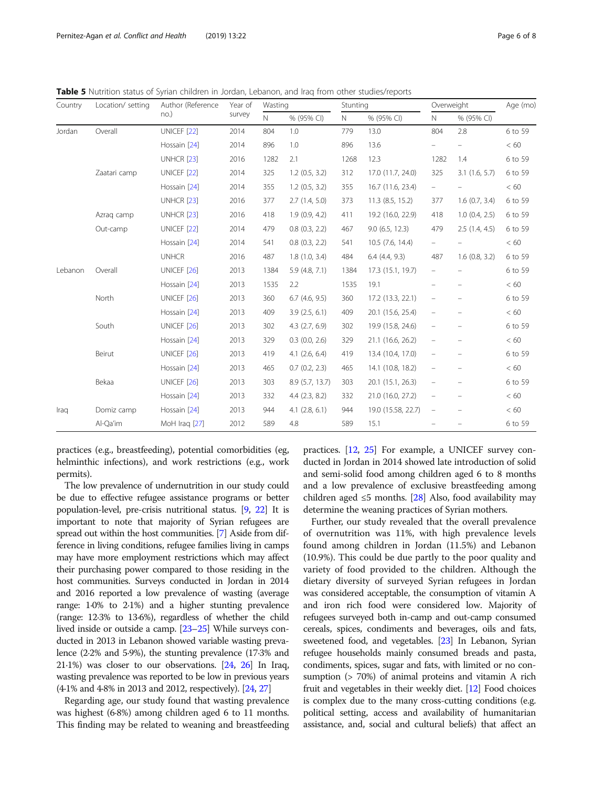<span id="page-5-0"></span>Table 5 Nutrition status of Syrian children in Jordan, Lebanon, and Iraq from other studies/reports

| Country | Location/ setting | Author (Reference<br>no.) | Year of<br>survey | Wasting     |                    | Stunting |                    | Overweight               |                  | Age (mo) |
|---------|-------------------|---------------------------|-------------------|-------------|--------------------|----------|--------------------|--------------------------|------------------|----------|
|         |                   |                           |                   | $\mathbb N$ | % (95% CI)         | N        | % (95% CI)         | N                        | % (95% CI)       |          |
| Jordan  | Overall           | UNICEF <sub>[22]</sub>    | 2014              | 804         | 1.0                | 779      | 13.0               | 804                      | 2.8              | 6 to 59  |
|         |                   | Hossain [24]              | 2014              | 896         | 1.0                | 896      | 13.6               |                          |                  | < 60     |
|         |                   | <b>UNHCR [23]</b>         | 2016              | 1282        | 2.1                | 1268     | 12.3               | 1282                     | 1.4              | 6 to 59  |
|         | Zaatari camp      | UNICEF <sub>[22]</sub>    | 2014              | 325         | $1.2$ (0.5, 3.2)   | 312      | 17.0 (11.7, 24.0)  | 325                      | $3.1$ (1.6, 5.7) | 6 to 59  |
|         |                   | Hossain [24]              | 2014              | 355         | $1.2$ (0.5, 3.2)   | 355      | 16.7 (11.6, 23.4)  | $\overline{\phantom{0}}$ |                  | < 60     |
|         |                   | <b>UNHCR [23]</b>         | 2016              | 377         | 2.7(1.4, 5.0)      | 373      | 11.3(8.5, 15.2)    | 377                      | 1.6(0.7, 3.4)    | 6 to 59  |
|         | Azrag camp        | <b>UNHCR [23]</b>         | 2016              | 418         | 1.9(0.9, 4.2)      | 411      | 19.2 (16.0, 22.9)  | 418                      | 1.0(0.4, 2.5)    | 6 to 59  |
|         | Out-camp          | UNICEF <sub>[22]</sub>    | 2014              | 479         | $0.8$ $(0.3, 2.2)$ | 467      | 9.0(6.5, 12.3)     | 479                      | 2.5(1.4, 4.5)    | 6 to 59  |
|         |                   | Hossain [24]              | 2014              | 541         | $0.8$ $(0.3, 2.2)$ | 541      | 10.5 (7.6, 14.4)   |                          |                  | $< 60$   |
|         |                   | <b>UNHCR</b>              | 2016              | 487         | 1.8(1.0, 3.4)      | 484      | 6.4(4.4, 9.3)      | 487                      | 1.6(0.8, 3.2)    | 6 to 59  |
| Lebanon | Overall           | UNICEF <sub>[26]</sub>    | 2013              | 1384        | 5.9 (4.8, 7.1)     | 1384     | 17.3 (15.1, 19.7)  | $\overline{\phantom{0}}$ |                  | 6 to 59  |
|         |                   | Hossain [24]              | 2013              | 1535        | 2.2                | 1535     | 19.1               |                          |                  | $< 60$   |
|         | North             | UNICEF <sub>[26]</sub>    | 2013              | 360         | $6.7$ (4.6, 9.5)   | 360      | 17.2 (13.3, 22.1)  |                          |                  | 6 to 59  |
|         |                   | Hossain [24]              | 2013              | 409         | 3.9(2.5, 6.1)      | 409      | 20.1 (15.6, 25.4)  |                          |                  | < 60     |
|         | South             | UNICEF <sub>[26]</sub>    | 2013              | 302         | $4.3$ $(2.7, 6.9)$ | 302      | 19.9 (15.8, 24.6)  |                          |                  | 6 to 59  |
|         |                   | Hossain [24]              | 2013              | 329         | $0.3$ $(0.0, 2.6)$ | 329      | 21.1 (16.6, 26.2)  |                          |                  | < 60     |
|         | Beirut            | UNICEF <sub>[26]</sub>    | 2013              | 419         | $4.1$ (2.6, 6.4)   | 419      | 13.4 (10.4, 17.0)  |                          |                  | 6 to 59  |
|         |                   | Hossain [24]              | 2013              | 465         | $0.7$ $(0.2, 2.3)$ | 465      | 14.1 (10.8, 18.2)  |                          |                  | < 60     |
|         | Bekaa             | UNICEF <sub>[26]</sub>    | 2013              | 303         | 8.9 (5.7, 13.7)    | 303      | 20.1 (15.1, 26.3)  |                          |                  | 6 to 59  |
|         |                   | Hossain [24]              | 2013              | 332         | $4.4$ (2.3, 8.2)   | 332      | 21.0 (16.0, 27.2)  |                          |                  | < 60     |
| Iraq    | Domiz camp        | Hossain [24]              | 2013              | 944         | $4.1$ $(2.8, 6.1)$ | 944      | 19.0 (15.58, 22.7) |                          |                  | < 60     |
|         | Al-Qa'im          | MoH Iraq [27]             | 2012              | 589         | 4.8                | 589      | 15.1               |                          |                  | 6 to 59  |

practices (e.g., breastfeeding), potential comorbidities (eg, helminthic infections), and work restrictions (e.g., work permits).

The low prevalence of undernutrition in our study could be due to effective refugee assistance programs or better population-level, pre-crisis nutritional status. [\[9,](#page-7-0) [22\]](#page-7-0) It is important to note that majority of Syrian refugees are spread out within the host communities. [\[7](#page-7-0)] Aside from difference in living conditions, refugee families living in camps may have more employment restrictions which may affect their purchasing power compared to those residing in the host communities. Surveys conducted in Jordan in 2014 and 2016 reported a low prevalence of wasting (average range: 1·0% to 2·1%) and a higher stunting prevalence (range: 12·3% to 13·6%), regardless of whether the child lived inside or outside a camp. [\[23](#page-7-0)–[25\]](#page-7-0) While surveys conducted in 2013 in Lebanon showed variable wasting prevalence (2·2% and 5·9%), the stunting prevalence (17·3% and 21·1%) was closer to our observations. [\[24,](#page-7-0) [26](#page-7-0)] In Iraq, wasting prevalence was reported to be low in previous years (4·1% and 4·8% in 2013 and 2012, respectively). [\[24,](#page-7-0) [27\]](#page-7-0)

Regarding age, our study found that wasting prevalence was highest (6·8%) among children aged 6 to 11 months. This finding may be related to weaning and breastfeeding

practices. [[12](#page-7-0), [25\]](#page-7-0) For example, a UNICEF survey conducted in Jordan in 2014 showed late introduction of solid and semi-solid food among children aged 6 to 8 months and a low prevalence of exclusive breastfeeding among children aged ≤5 months. [\[28\]](#page-7-0) Also, food availability may determine the weaning practices of Syrian mothers.

Further, our study revealed that the overall prevalence of overnutrition was 11%, with high prevalence levels found among children in Jordan (11.5%) and Lebanon (10.9%). This could be due partly to the poor quality and variety of food provided to the children. Although the dietary diversity of surveyed Syrian refugees in Jordan was considered acceptable, the consumption of vitamin A and iron rich food were considered low. Majority of refugees surveyed both in-camp and out-camp consumed cereals, spices, condiments and beverages, oils and fats, sweetened food, and vegetables. [\[23](#page-7-0)] In Lebanon, Syrian refugee households mainly consumed breads and pasta, condiments, spices, sugar and fats, with limited or no consumption (> 70%) of animal proteins and vitamin A rich fruit and vegetables in their weekly diet. [[12](#page-7-0)] Food choices is complex due to the many cross-cutting conditions (e.g. political setting, access and availability of humanitarian assistance, and, social and cultural beliefs) that affect an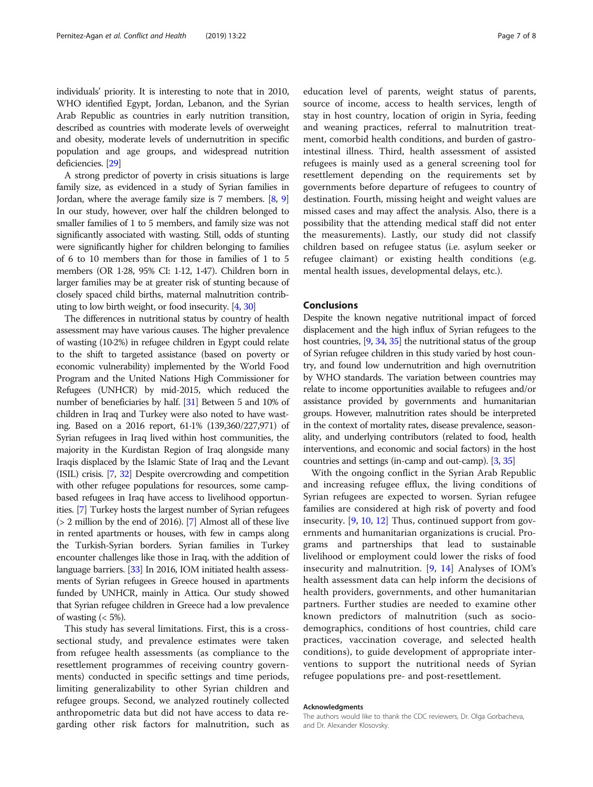individuals' priority. It is interesting to note that in 2010, WHO identified Egypt, Jordan, Lebanon, and the Syrian Arab Republic as countries in early nutrition transition, described as countries with moderate levels of overweight and obesity, moderate levels of undernutrition in specific population and age groups, and widespread nutrition deficiencies. [\[29\]](#page-7-0)

A strong predictor of poverty in crisis situations is large family size, as evidenced in a study of Syrian families in Jordan, where the average family size is 7 members. [\[8](#page-7-0), [9](#page-7-0)] In our study, however, over half the children belonged to smaller families of 1 to 5 members, and family size was not significantly associated with wasting. Still, odds of stunting were significantly higher for children belonging to families of 6 to 10 members than for those in families of 1 to 5 members (OR 1·28, 95% CI: 1·12, 1·47). Children born in larger families may be at greater risk of stunting because of closely spaced child births, maternal malnutrition contributing to low birth weight, or food insecurity. [[4](#page-7-0), [30](#page-7-0)]

The differences in nutritional status by country of health assessment may have various causes. The higher prevalence of wasting (10·2%) in refugee children in Egypt could relate to the shift to targeted assistance (based on poverty or economic vulnerability) implemented by the World Food Program and the United Nations High Commissioner for Refugees (UNHCR) by mid-2015, which reduced the number of beneficiaries by half. [\[31](#page-7-0)] Between 5 and 10% of children in Iraq and Turkey were also noted to have wasting. Based on a 2016 report, 61·1% (139,360/227,971) of Syrian refugees in Iraq lived within host communities, the majority in the Kurdistan Region of Iraq alongside many Iraqis displaced by the Islamic State of Iraq and the Levant (ISIL) crisis. [\[7,](#page-7-0) [32\]](#page-7-0) Despite overcrowding and competition with other refugee populations for resources, some campbased refugees in Iraq have access to livelihood opportunities. [\[7\]](#page-7-0) Turkey hosts the largest number of Syrian refugees (> 2 million by the end of 2016). [\[7\]](#page-7-0) Almost all of these live in rented apartments or houses, with few in camps along the Turkish-Syrian borders. Syrian families in Turkey encounter challenges like those in Iraq, with the addition of language barriers. [\[33\]](#page-7-0) In 2016, IOM initiated health assessments of Syrian refugees in Greece housed in apartments funded by UNHCR, mainly in Attica. Our study showed that Syrian refugee children in Greece had a low prevalence of wasting  $(< 5\%)$ .

This study has several limitations. First, this is a crosssectional study, and prevalence estimates were taken from refugee health assessments (as compliance to the resettlement programmes of receiving country governments) conducted in specific settings and time periods, limiting generalizability to other Syrian children and refugee groups. Second, we analyzed routinely collected anthropometric data but did not have access to data regarding other risk factors for malnutrition, such as education level of parents, weight status of parents, source of income, access to health services, length of stay in host country, location of origin in Syria, feeding and weaning practices, referral to malnutrition treatment, comorbid health conditions, and burden of gastrointestinal illness. Third, health assessment of assisted refugees is mainly used as a general screening tool for resettlement depending on the requirements set by governments before departure of refugees to country of destination. Fourth, missing height and weight values are missed cases and may affect the analysis. Also, there is a possibility that the attending medical staff did not enter the measurements). Lastly, our study did not classify children based on refugee status (i.e. asylum seeker or refugee claimant) or existing health conditions (e.g. mental health issues, developmental delays, etc.).

#### Conclusions

Despite the known negative nutritional impact of forced displacement and the high influx of Syrian refugees to the host countries, [\[9,](#page-7-0) [34,](#page-7-0) [35\]](#page-7-0) the nutritional status of the group of Syrian refugee children in this study varied by host country, and found low undernutrition and high overnutrition by WHO standards. The variation between countries may relate to income opportunities available to refugees and/or assistance provided by governments and humanitarian groups. However, malnutrition rates should be interpreted in the context of mortality rates, disease prevalence, seasonality, and underlying contributors (related to food, health interventions, and economic and social factors) in the host countries and settings (in-camp and out-camp). [\[3,](#page-7-0) [35\]](#page-7-0)

With the ongoing conflict in the Syrian Arab Republic and increasing refugee efflux, the living conditions of Syrian refugees are expected to worsen. Syrian refugee families are considered at high risk of poverty and food insecurity. [[9,](#page-7-0) [10,](#page-7-0) [12](#page-7-0)] Thus, continued support from governments and humanitarian organizations is crucial. Programs and partnerships that lead to sustainable livelihood or employment could lower the risks of food insecurity and malnutrition. [\[9](#page-7-0), [14\]](#page-7-0) Analyses of IOM's health assessment data can help inform the decisions of health providers, governments, and other humanitarian partners. Further studies are needed to examine other known predictors of malnutrition (such as sociodemographics, conditions of host countries, child care practices, vaccination coverage, and selected health conditions), to guide development of appropriate interventions to support the nutritional needs of Syrian refugee populations pre- and post-resettlement.

#### Acknowledgments

The authors would like to thank the CDC reviewers, Dr. Olga Gorbacheva, and Dr. Alexander Klosovsky.